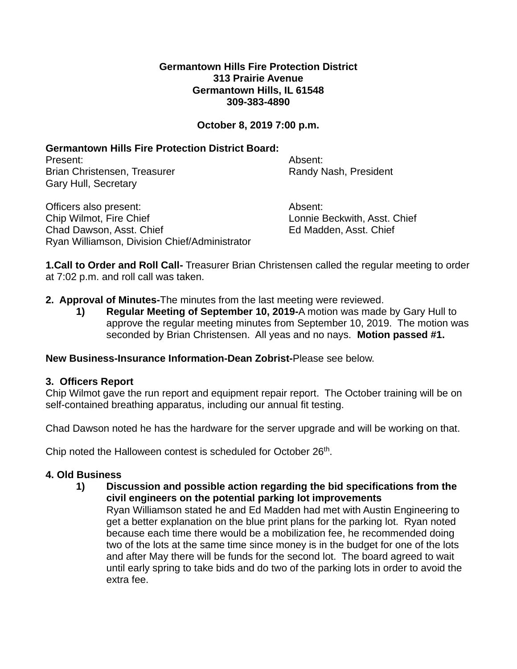#### **Germantown Hills Fire Protection District 313 Prairie Avenue Germantown Hills, IL 61548 309-383-4890**

# **October 8, 2019 7:00 p.m.**

# **Germantown Hills Fire Protection District Board:**

Present: Absent: Brian Christensen, Treasurer **Randy Nash, President** Gary Hull, Secretary

Officers also present: Absent: Chip Wilmot, Fire Chief **Lonnie Beckwith, Asst. Chief** Lonnie Beckwith, Asst. Chief Chad Dawson, Asst. Chief Ed Madden, Asst. Chief Ryan Williamson, Division Chief/Administrator

**1.Call to Order and Roll Call-** Treasurer Brian Christensen called the regular meeting to order at 7:02 p.m. and roll call was taken.

## **2. Approval of Minutes-**The minutes from the last meeting were reviewed.

**1) Regular Meeting of September 10, 2019-**A motion was made by Gary Hull to approve the regular meeting minutes from September 10, 2019. The motion was seconded by Brian Christensen. All yeas and no nays. **Motion passed #1.**

#### **New Business-Insurance Information-Dean Zobrist-**Please see below.

## **3. Officers Report**

Chip Wilmot gave the run report and equipment repair report. The October training will be on self-contained breathing apparatus, including our annual fit testing.

Chad Dawson noted he has the hardware for the server upgrade and will be working on that.

Chip noted the Halloween contest is scheduled for October 26<sup>th</sup>.

## **4. Old Business**

extra fee.

**1) Discussion and possible action regarding the bid specifications from the civil engineers on the potential parking lot improvements** Ryan Williamson stated he and Ed Madden had met with Austin Engineering to get a better explanation on the blue print plans for the parking lot. Ryan noted because each time there would be a mobilization fee, he recommended doing two of the lots at the same time since money is in the budget for one of the lots and after May there will be funds for the second lot. The board agreed to wait until early spring to take bids and do two of the parking lots in order to avoid the